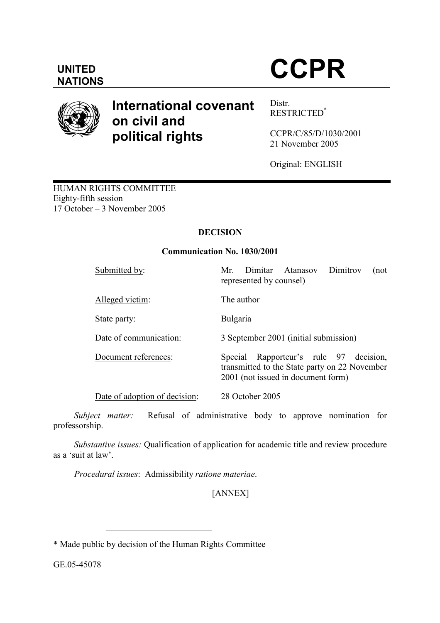

# International covenant on civil and political rights

Distr. RESTRICTED\*

CCPR/C/85/D/1030/2001 21 November 2005

Original: ENGLISH

HUMAN RIGHTS COMMITTEE Eighty-fifth session 17 October – 3 November 2005

## DECISION

## Communication No. 1030/2001

| Submitted by:                 | Mr. Dimitar Atanasov Dimitrov<br>(not<br>represented by counsel)                                                                 |
|-------------------------------|----------------------------------------------------------------------------------------------------------------------------------|
| Alleged victim:               | The author                                                                                                                       |
| State party:                  | <b>Bulgaria</b>                                                                                                                  |
| Date of communication:        | 3 September 2001 (initial submission)                                                                                            |
| Document references:          | Rapporteur's rule 97 decision,<br>Special<br>transmitted to the State party on 22 November<br>2001 (not issued in document form) |
| Dota of adoption of degigion: | $20 \text{ O}$ otobor $2005$                                                                                                     |

Date of adoption of decision: 28 October 2005

Subject matter: Refusal of administrative body to approve nomination for professorship.

 Substantive issues: Qualification of application for academic title and review procedure as a 'suit at law'.

Procedural issues: Admissibility ratione materiae.

[ANNEX]

GE.05-45078

 $\overline{a}$ 

<sup>\*</sup> Made public by decision of the Human Rights Committee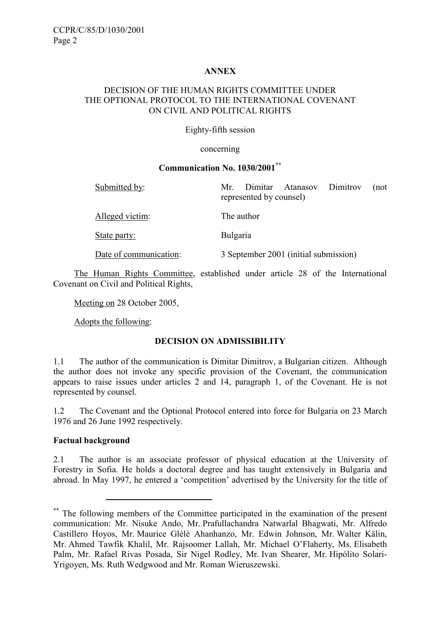## **ANNEX**

#### DECISION OF THE HUMAN RIGHTS COMMITTEE UNDER THE OPTIONAL PROTOCOL TO THE INTERNATIONAL COVENANT ON CIVIL AND POLITICAL RIGHTS

#### Eighty-fifth session

#### concerning

#### Communication No. 1030/2001\*\*

| Submitted by:          | Mr. Dimitar Atanasov Dimitrov<br>(not<br>represented by counsel) |
|------------------------|------------------------------------------------------------------|
| Alleged victim:        | The author                                                       |
| State party:           | <b>Bulgaria</b>                                                  |
| Date of communication: | 3 September 2001 (initial submission)                            |

 The Human Rights Committee, established under article 28 of the International Covenant on Civil and Political Rights,

Meeting on 28 October 2005,

Adopts the following:

### DECISION ON ADMISSIBILITY

1.1 The author of the communication is Dimitar Dimitrov, a Bulgarian citizen. Although the author does not invoke any specific provision of the Covenant, the communication appears to raise issues under articles 2 and 14, paragraph 1, of the Covenant. He is not represented by counsel.

1.2 The Covenant and the Optional Protocol entered into force for Bulgaria on 23 March 1976 and 26 June 1992 respectively.

#### Factual background

 $\overline{a}$ 

2.1 The author is an associate professor of physical education at the University of Forestry in Sofia. He holds a doctoral degree and has taught extensively in Bulgaria and abroad. In May 1997, he entered a 'competition' advertised by the University for the title of

<sup>\*\*</sup> The following members of the Committee participated in the examination of the present communication: Mr. Nisuke Ando, Mr. Prafullachandra Natwarlal Bhagwati, Mr. Alfredo Castillero Hoyos, Mr. Maurice Glèlè Ahanhanzo, Mr. Edwin Johnson, Mr. Walter Kälin, Mr. Ahmed Tawfik Khalil, Mr. Rajsoomer Lallah, Mr. Michael O'Flaherty, Ms. Elisabeth Palm, Mr. Rafael Rivas Posada, Sir Nigel Rodley, Mr. Ivan Shearer, Mr. Hipólito Solari-Yrigoyen, Ms. Ruth Wedgwood and Mr. Roman Wieruszewski.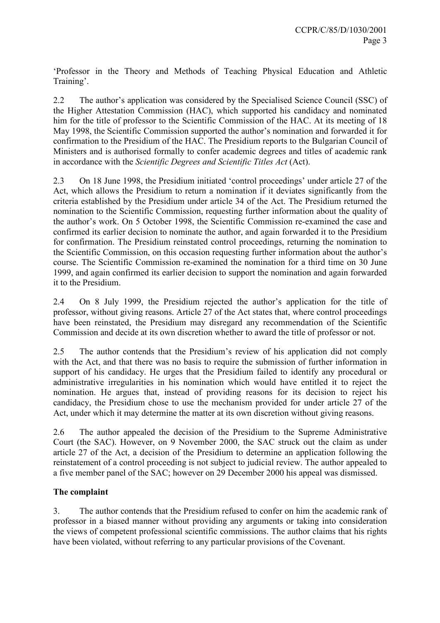'Professor in the Theory and Methods of Teaching Physical Education and Athletic Training'.

2.2 The author's application was considered by the Specialised Science Council (SSC) of the Higher Attestation Commission (HAC), which supported his candidacy and nominated him for the title of professor to the Scientific Commission of the HAC. At its meeting of 18 May 1998, the Scientific Commission supported the author's nomination and forwarded it for confirmation to the Presidium of the HAC. The Presidium reports to the Bulgarian Council of Ministers and is authorised formally to confer academic degrees and titles of academic rank in accordance with the Scientific Degrees and Scientific Titles Act (Act).

2.3 On 18 June 1998, the Presidium initiated 'control proceedings' under article 27 of the Act, which allows the Presidium to return a nomination if it deviates significantly from the criteria established by the Presidium under article 34 of the Act. The Presidium returned the nomination to the Scientific Commission, requesting further information about the quality of the author's work. On 5 October 1998, the Scientific Commission re-examined the case and confirmed its earlier decision to nominate the author, and again forwarded it to the Presidium for confirmation. The Presidium reinstated control proceedings, returning the nomination to the Scientific Commission, on this occasion requesting further information about the author's course. The Scientific Commission re-examined the nomination for a third time on 30 June 1999, and again confirmed its earlier decision to support the nomination and again forwarded it to the Presidium.

2.4 On 8 July 1999, the Presidium rejected the author's application for the title of professor, without giving reasons. Article 27 of the Act states that, where control proceedings have been reinstated, the Presidium may disregard any recommendation of the Scientific Commission and decide at its own discretion whether to award the title of professor or not.

2.5 The author contends that the Presidium's review of his application did not comply with the Act, and that there was no basis to require the submission of further information in support of his candidacy. He urges that the Presidium failed to identify any procedural or administrative irregularities in his nomination which would have entitled it to reject the nomination. He argues that, instead of providing reasons for its decision to reject his candidacy, the Presidium chose to use the mechanism provided for under article 27 of the Act, under which it may determine the matter at its own discretion without giving reasons.

2.6 The author appealed the decision of the Presidium to the Supreme Administrative Court (the SAC). However, on 9 November 2000, the SAC struck out the claim as under article 27 of the Act, a decision of the Presidium to determine an application following the reinstatement of a control proceeding is not subject to judicial review. The author appealed to a five member panel of the SAC; however on 29 December 2000 his appeal was dismissed.

### The complaint

3. The author contends that the Presidium refused to confer on him the academic rank of professor in a biased manner without providing any arguments or taking into consideration the views of competent professional scientific commissions. The author claims that his rights have been violated, without referring to any particular provisions of the Covenant.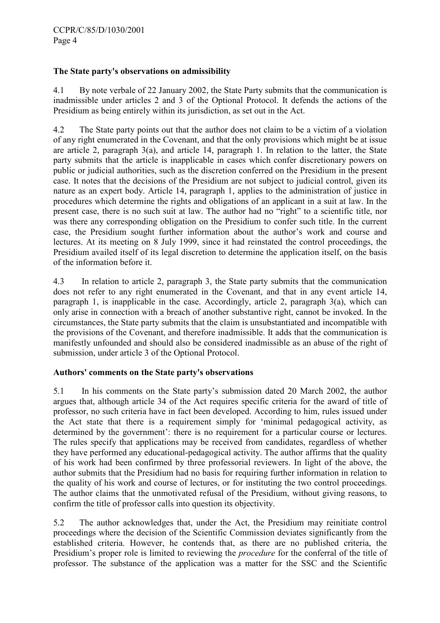## The State party's observations on admissibility

4.1 By note verbale of 22 January 2002, the State Party submits that the communication is inadmissible under articles 2 and 3 of the Optional Protocol. It defends the actions of the Presidium as being entirely within its jurisdiction, as set out in the Act.

4.2 The State party points out that the author does not claim to be a victim of a violation of any right enumerated in the Covenant, and that the only provisions which might be at issue are article 2, paragraph 3(a), and article 14, paragraph 1. In relation to the latter, the State party submits that the article is inapplicable in cases which confer discretionary powers on public or judicial authorities, such as the discretion conferred on the Presidium in the present case. It notes that the decisions of the Presidium are not subject to judicial control, given its nature as an expert body. Article 14, paragraph 1, applies to the administration of justice in procedures which determine the rights and obligations of an applicant in a suit at law. In the present case, there is no such suit at law. The author had no "right" to a scientific title, nor was there any corresponding obligation on the Presidium to confer such title. In the current case, the Presidium sought further information about the author's work and course and lectures. At its meeting on 8 July 1999, since it had reinstated the control proceedings, the Presidium availed itself of its legal discretion to determine the application itself, on the basis of the information before it.

4.3 In relation to article 2, paragraph 3, the State party submits that the communication does not refer to any right enumerated in the Covenant, and that in any event article 14, paragraph 1, is inapplicable in the case. Accordingly, article 2, paragraph 3(a), which can only arise in connection with a breach of another substantive right, cannot be invoked. In the circumstances, the State party submits that the claim is unsubstantiated and incompatible with the provisions of the Covenant, and therefore inadmissible. It adds that the communication is manifestly unfounded and should also be considered inadmissible as an abuse of the right of submission, under article 3 of the Optional Protocol.

### Authors' comments on the State party's observations

5.1 In his comments on the State party's submission dated 20 March 2002, the author argues that, although article 34 of the Act requires specific criteria for the award of title of professor, no such criteria have in fact been developed. According to him, rules issued under the Act state that there is a requirement simply for 'minimal pedagogical activity, as determined by the government': there is no requirement for a particular course or lectures. The rules specify that applications may be received from candidates, regardless of whether they have performed any educational-pedagogical activity. The author affirms that the quality of his work had been confirmed by three professorial reviewers. In light of the above, the author submits that the Presidium had no basis for requiring further information in relation to the quality of his work and course of lectures, or for instituting the two control proceedings. The author claims that the unmotivated refusal of the Presidium, without giving reasons, to confirm the title of professor calls into question its objectivity.

5.2 The author acknowledges that, under the Act, the Presidium may reinitiate control proceedings where the decision of the Scientific Commission deviates significantly from the established criteria. However, he contends that, as there are no published criteria, the Presidium's proper role is limited to reviewing the *procedure* for the conferral of the title of professor. The substance of the application was a matter for the SSC and the Scientific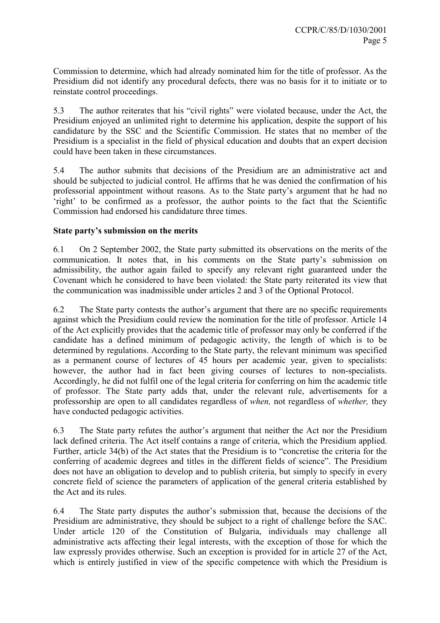Commission to determine, which had already nominated him for the title of professor. As the Presidium did not identify any procedural defects, there was no basis for it to initiate or to reinstate control proceedings.

5.3 The author reiterates that his "civil rights" were violated because, under the Act, the Presidium enjoyed an unlimited right to determine his application, despite the support of his candidature by the SSC and the Scientific Commission. He states that no member of the Presidium is a specialist in the field of physical education and doubts that an expert decision could have been taken in these circumstances.

5.4 The author submits that decisions of the Presidium are an administrative act and should be subjected to judicial control. He affirms that he was denied the confirmation of his professorial appointment without reasons. As to the State party's argument that he had no 'right' to be confirmed as a professor, the author points to the fact that the Scientific Commission had endorsed his candidature three times.

#### State party's submission on the merits

6.1 On 2 September 2002, the State party submitted its observations on the merits of the communication. It notes that, in his comments on the State party's submission on admissibility, the author again failed to specify any relevant right guaranteed under the Covenant which he considered to have been violated: the State party reiterated its view that the communication was inadmissible under articles 2 and 3 of the Optional Protocol.

6.2 The State party contests the author's argument that there are no specific requirements against which the Presidium could review the nomination for the title of professor. Article 14 of the Act explicitly provides that the academic title of professor may only be conferred if the candidate has a defined minimum of pedagogic activity, the length of which is to be determined by regulations. According to the State party, the relevant minimum was specified as a permanent course of lectures of 45 hours per academic year, given to specialists: however, the author had in fact been giving courses of lectures to non-specialists. Accordingly, he did not fulfil one of the legal criteria for conferring on him the academic title of professor. The State party adds that, under the relevant rule, advertisements for a professorship are open to all candidates regardless of when, not regardless of whether, they have conducted pedagogic activities.

6.3 The State party refutes the author's argument that neither the Act nor the Presidium lack defined criteria. The Act itself contains a range of criteria, which the Presidium applied. Further, article 34(b) of the Act states that the Presidium is to "concretise the criteria for the conferring of academic degrees and titles in the different fields of science". The Presidium does not have an obligation to develop and to publish criteria, but simply to specify in every concrete field of science the parameters of application of the general criteria established by the Act and its rules.

6.4 The State party disputes the author's submission that, because the decisions of the Presidium are administrative, they should be subject to a right of challenge before the SAC. Under article 120 of the Constitution of Bulgaria, individuals may challenge all administrative acts affecting their legal interests, with the exception of those for which the law expressly provides otherwise. Such an exception is provided for in article 27 of the Act, which is entirely justified in view of the specific competence with which the Presidium is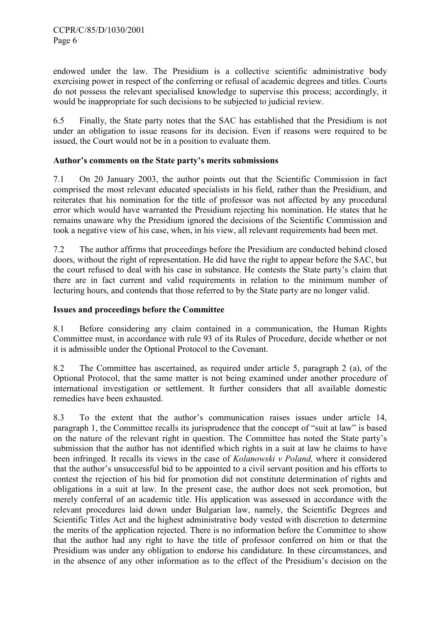endowed under the law. The Presidium is a collective scientific administrative body exercising power in respect of the conferring or refusal of academic degrees and titles. Courts do not possess the relevant specialised knowledge to supervise this process; accordingly, it would be inappropriate for such decisions to be subjected to judicial review.

6.5 Finally, the State party notes that the SAC has established that the Presidium is not under an obligation to issue reasons for its decision. Even if reasons were required to be issued, the Court would not be in a position to evaluate them.

#### Author's comments on the State party's merits submissions

7.1 On 20 January 2003, the author points out that the Scientific Commission in fact comprised the most relevant educated specialists in his field, rather than the Presidium, and reiterates that his nomination for the title of professor was not affected by any procedural error which would have warranted the Presidium rejecting his nomination. He states that he remains unaware why the Presidium ignored the decisions of the Scientific Commission and took a negative view of his case, when, in his view, all relevant requirements had been met.

7.2 The author affirms that proceedings before the Presidium are conducted behind closed doors, without the right of representation. He did have the right to appear before the SAC, but the court refused to deal with his case in substance. He contests the State party's claim that there are in fact current and valid requirements in relation to the minimum number of lecturing hours, and contends that those referred to by the State party are no longer valid.

#### Issues and proceedings before the Committee

8.1 Before considering any claim contained in a communication, the Human Rights Committee must, in accordance with rule 93 of its Rules of Procedure, decide whether or not it is admissible under the Optional Protocol to the Covenant.

8.2 The Committee has ascertained, as required under article 5, paragraph 2 (a), of the Optional Protocol, that the same matter is not being examined under another procedure of international investigation or settlement. It further considers that all available domestic remedies have been exhausted.

8.3 To the extent that the author's communication raises issues under article 14, paragraph 1, the Committee recalls its jurisprudence that the concept of "suit at law" is based on the nature of the relevant right in question. The Committee has noted the State party's submission that the author has not identified which rights in a suit at law he claims to have been infringed. It recalls its views in the case of *Kolanowski v Poland*, where it considered that the author's unsuccessful bid to be appointed to a civil servant position and his efforts to contest the rejection of his bid for promotion did not constitute determination of rights and obligations in a suit at law. In the present case, the author does not seek promotion, but merely conferral of an academic title. His application was assessed in accordance with the relevant procedures laid down under Bulgarian law, namely, the Scientific Degrees and Scientific Titles Act and the highest administrative body vested with discretion to determine the merits of the application rejected. There is no information before the Committee to show that the author had any right to have the title of professor conferred on him or that the Presidium was under any obligation to endorse his candidature. In these circumstances, and in the absence of any other information as to the effect of the Presidium's decision on the